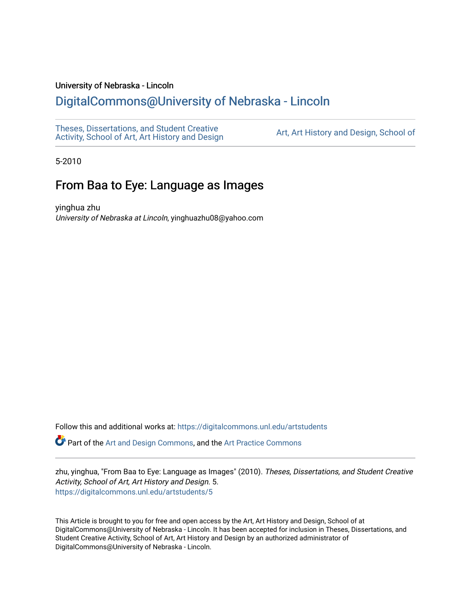### University of Nebraska - Lincoln

# [DigitalCommons@University of Nebraska - Lincoln](https://digitalcommons.unl.edu/)

[Theses, Dissertations, and Student Creative](https://digitalcommons.unl.edu/artstudents)  [Activity, School of Art, Art History and Design](https://digitalcommons.unl.edu/artstudents) [Art, Art History and Design, School of](https://digitalcommons.unl.edu/art) 

5-2010

## From Baa to Eye: Language as Images

yinghua zhu University of Nebraska at Lincoln, yinghuazhu08@yahoo.com

Follow this and additional works at: [https://digitalcommons.unl.edu/artstudents](https://digitalcommons.unl.edu/artstudents?utm_source=digitalcommons.unl.edu%2Fartstudents%2F5&utm_medium=PDF&utm_campaign=PDFCoverPages) 

Part of the [Art and Design Commons](http://network.bepress.com/hgg/discipline/1049?utm_source=digitalcommons.unl.edu%2Fartstudents%2F5&utm_medium=PDF&utm_campaign=PDFCoverPages), and the [Art Practice Commons](http://network.bepress.com/hgg/discipline/509?utm_source=digitalcommons.unl.edu%2Fartstudents%2F5&utm_medium=PDF&utm_campaign=PDFCoverPages)

zhu, yinghua, "From Baa to Eye: Language as Images" (2010). Theses, Dissertations, and Student Creative Activity, School of Art, Art History and Design. 5. [https://digitalcommons.unl.edu/artstudents/5](https://digitalcommons.unl.edu/artstudents/5?utm_source=digitalcommons.unl.edu%2Fartstudents%2F5&utm_medium=PDF&utm_campaign=PDFCoverPages) 

This Article is brought to you for free and open access by the Art, Art History and Design, School of at DigitalCommons@University of Nebraska - Lincoln. It has been accepted for inclusion in Theses, Dissertations, and Student Creative Activity, School of Art, Art History and Design by an authorized administrator of DigitalCommons@University of Nebraska - Lincoln.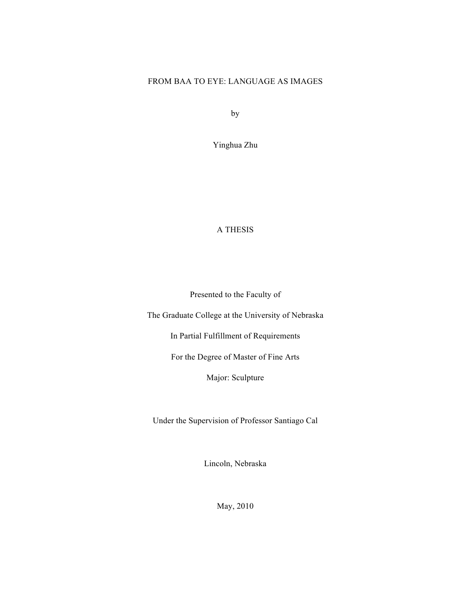### FROM BAA TO EYE: LANGUAGE AS IMAGES

by

Yinghua Zhu

## A THESIS

Presented to the Faculty of

The Graduate College at the University of Nebraska

In Partial Fulfillment of Requirements

For the Degree of Master of Fine Arts

Major: Sculpture

Under the Supervision of Professor Santiago Cal

Lincoln, Nebraska

May, 2010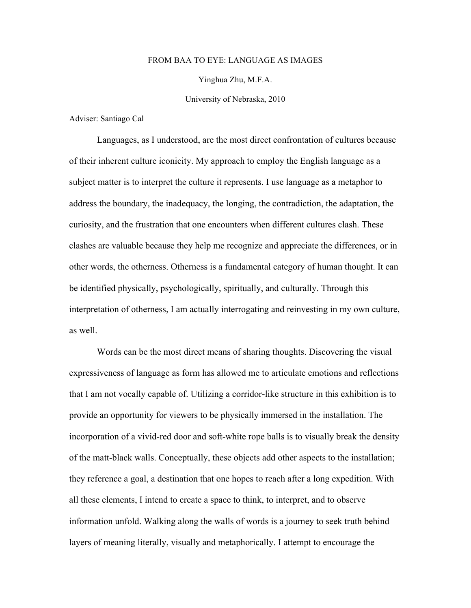#### FROM BAA TO EYE: LANGUAGE AS IMAGES

Yinghua Zhu, M.F.A.

University of Nebraska, 2010

Adviser: Santiago Cal

Languages, as I understood, are the most direct confrontation of cultures because of their inherent culture iconicity. My approach to employ the English language as a subject matter is to interpret the culture it represents. I use language as a metaphor to address the boundary, the inadequacy, the longing, the contradiction, the adaptation, the curiosity, and the frustration that one encounters when different cultures clash. These clashes are valuable because they help me recognize and appreciate the differences, or in other words, the otherness. Otherness is a fundamental category of human thought. It can be identified physically, psychologically, spiritually, and culturally. Through this interpretation of otherness, I am actually interrogating and reinvesting in my own culture, as well.

Words can be the most direct means of sharing thoughts. Discovering the visual expressiveness of language as form has allowed me to articulate emotions and reflections that I am not vocally capable of. Utilizing a corridor-like structure in this exhibition is to provide an opportunity for viewers to be physically immersed in the installation. The incorporation of a vivid-red door and soft-white rope balls is to visually break the density of the matt-black walls. Conceptually, these objects add other aspects to the installation; they reference a goal, a destination that one hopes to reach after a long expedition. With all these elements, I intend to create a space to think, to interpret, and to observe information unfold. Walking along the walls of words is a journey to seek truth behind layers of meaning literally, visually and metaphorically. I attempt to encourage the